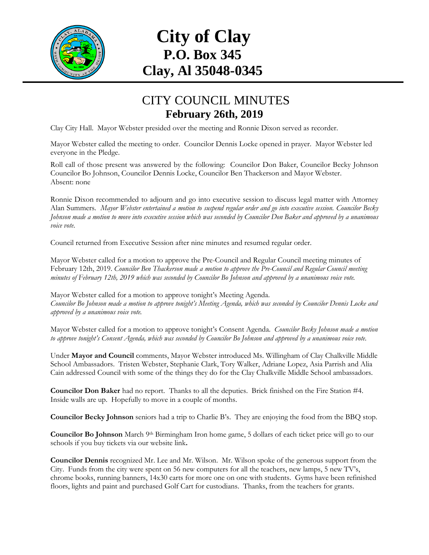

# **City of Clay P.O. Box 345 Clay, Al 35048-0345**

### CITY COUNCIL MINUTES **February 26th, 2019**

Clay City Hall. Mayor Webster presided over the meeting and Ronnie Dixon served as recorder.

Mayor Webster called the meeting to order. Councilor Dennis Locke opened in prayer. Mayor Webster led everyone in the Pledge.

Roll call of those present was answered by the following: Councilor Don Baker, Councilor Becky Johnson Councilor Bo Johnson, Councilor Dennis Locke, Councilor Ben Thackerson and Mayor Webster. Absent: none

Ronnie Dixon recommended to adjourn and go into executive session to discuss legal matter with Attorney Alan Summers*. Mayor Webster entertained a motion to suspend regular order and go into executive session. Councilor Becky Johnson made a motion to move into executive session which was seconded by Councilor Don Baker and approved by a unanimous voice vote*.

Council returned from Executive Session after nine minutes and resumed regular order.

Mayor Webster called for a motion to approve the Pre-Council and Regular Council meeting minutes of February 12th, 2019. *Councilor Ben Thackerson made a motion to approve the Pre-Council and Regular Council meeting minutes of February 12th, 2019 which was seconded by Councilor Bo Johnson and approved by a unanimous voice vote.*

Mayor Webster called for a motion to approve tonight's Meeting Agenda. *Councilor Bo Johnson made a motion to approve tonight's Meeting Agenda, which was seconded by Councilor Dennis Locke and approved by a unanimous voice vote.*

Mayor Webster called for a motion to approve tonight's Consent Agenda. *Councilor Becky Johnson made a motion to approve tonight's Consent Agenda, which was seconded by Councilor Bo Johnson and approved by a unanimous voice vote.*

Under **Mayor and Council** comments, Mayor Webster introduced Ms. Willingham of Clay Chalkville Middle School Ambassadors. Tristen Webster, Stephanie Clark, Tory Walker, Adriane Lopez, Asia Parrish and Alia Cain addressed Council with some of the things they do for the Clay Chalkville Middle School ambassadors.

**Councilor Don Baker** had no report. Thanks to all the deputies. Brick finished on the Fire Station #4. Inside walls are up. Hopefully to move in a couple of months.

**Councilor Becky Johnson** seniors had a trip to Charlie B's. They are enjoying the food from the BBQ stop.

**Councilor Bo Johnson** March 9th Birmingham Iron home game, 5 dollars of each ticket price will go to our schools if you buy tickets via our website link**.**

**Councilor Dennis** recognized Mr. Lee and Mr. Wilson. Mr. Wilson spoke of the generous support from the City. Funds from the city were spent on 56 new computers for all the teachers, new lamps, 5 new TV's, chrome books, running banners, 14x30 carts for more one on one with students. Gyms have been refinished floors, lights and paint and purchased Golf Cart for custodians. Thanks, from the teachers for grants.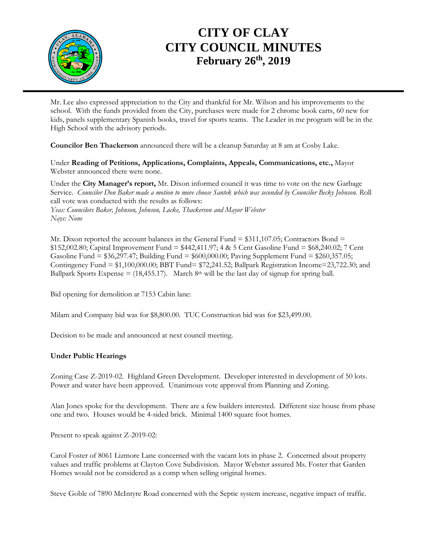

## **CITY OF CLAY CITY COUNCIL MINUTES February 26th , 2019**

Mr. Lee also expressed appreciation to the City and thankful for Mr. Wilson and his improvements to the school. With the funds provided from the City, purchases were made for 2 chrome book carts, 60 new for kids, panels supplementary Spanish books, travel for sports teams. The Leader in me program will be in the High School with the advisory periods.

**Councilor Ben Thackerson** announced there will be a cleanup Saturday at 8 am at Cosby Lake.

Under **Reading of Petitions, Applications, Complaints, Appeals, Communications, etc.,** Mayor Webster announced there were none.

Under the **City Manager's report,** Mr. Dixon informed council it was time to vote on the new Garbage Service. *Councilor Don Baker made a motion to move choose Santek which was seconded by Councilor Becky Johnson. R*oll call vote was conducted with the results as follows: *Yeas: Councilors Baker, Johnson, Johnson, Locke, Thackerson and Mayor Webster Nays: None*

Mr. Dixon reported the account balances in the General Fund  $= $311,107.05$ ; Contractors Bond  $=$ \$152,002.80; Capital Improvement Fund = \$442,411.97; 4 & 5 Cent Gasoline Fund = \$68,240.02; 7 Cent Gasoline Fund = \$36,297.47; Building Fund = \$600,000.00; Paving Supplement Fund = \$260,357.05; Contingency Fund = \$1,100,000.00; BBT Fund= \$72,241.52; Ballpark Registration Income=23,722.30; and Ballpark Sports Expense =  $(18,455.17)$ . March 8<sup>th</sup> will be the last day of signup for spring ball.

Bid opening for demolition at 7153 Cabin lane:

Milam and Company bid was for \$8,800.00. TUC Construction bid was for \$23,499.00.

Decision to be made and announced at next council meeting.

#### **Under Public Hearings**

Zoning Case Z-2019-02. Highland Green Development. Developer interested in development of 50 lots. Power and water have been approved. Unanimous vote approval from Planning and Zoning.

Alan Jones spoke for the development. There are a few builders interested. Different size house from phase one and two. Houses would be 4-sided brick. Minimal 1400 square foot homes.

Present to speak against Z-2019-02:

Carol Foster of 8061 Lizmore Lane concerned with the vacant lots in phase 2. Concerned about property values and traffic problems at Clayton Cove Subdivision. Mayor Webster assured Ms. Foster that Garden Homes would not be considered as a comp when selling original homes.

Steve Goble of 7890 McIntyre Road concerned with the Septic system increase, negative impact of traffic.